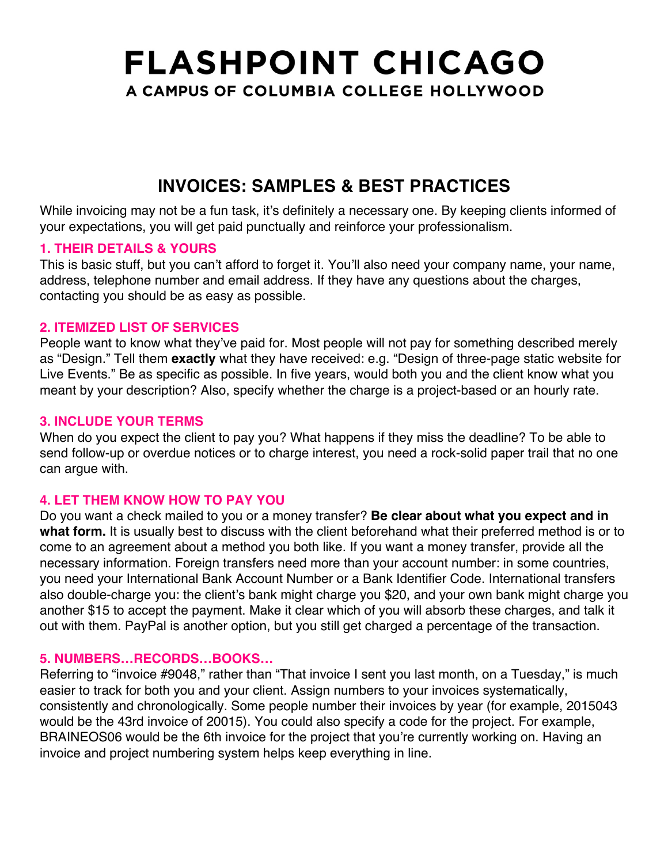## **INVOICES: SAMPLES & BEST PRACTICES**

While invoicing may not be a fun task, it's definitely a necessary one. By keeping clients informed of your expectations, you will get paid punctually and reinforce your professionalism.

#### **1. THEIR DETAILS & YOURS**

This is basic stuff, but you can't afford to forget it. You'll also need your company name, your name, address, telephone number and email address. If they have any questions about the charges, contacting you should be as easy as possible.

#### **2. ITEMIZED LIST OF SERVICES**

People want to know what they've paid for. Most people will not pay for something described merely as "Design." Tell them **exactly** what they have received: e.g. "Design of three-page static website for Live Events." Be as specific as possible. In five years, would both you and the client know what you meant by your description? Also, specify whether the charge is a project-based or an hourly rate.

#### **3. INCLUDE YOUR TERMS**

When do you expect the client to pay you? What happens if they miss the deadline? To be able to send follow-up or overdue notices or to charge interest, you need a rock-solid paper trail that no one can argue with.

## **4. LET THEM KNOW HOW TO PAY YOU**

Do you want a check mailed to you or a money transfer? **Be clear about what you expect and in what form.** It is usually best to discuss with the client beforehand what their preferred method is or to come to an agreement about a method you both like. If you want a money transfer, provide all the necessary information. Foreign transfers need more than your account number: in some countries, you need your International Bank Account Number or a Bank Identifier Code. International transfers also double-charge you: the client's bank might charge you \$20, and your own bank might charge you another \$15 to accept the payment. Make it clear which of you will absorb these charges, and talk it out with them. PayPal is another option, but you still get charged a percentage of the transaction.

## **5. NUMBERS…RECORDS…BOOKS…**

Referring to "invoice #9048," rather than "That invoice I sent you last month, on a Tuesday," is much easier to track for both you and your client. Assign numbers to your invoices systematically, consistently and chronologically. Some people number their invoices by year (for example, 2015043 would be the 43rd invoice of 20015). You could also specify a code for the project. For example, BRAINEOS06 would be the 6th invoice for the project that you're currently working on. Having an invoice and project numbering system helps keep everything in line.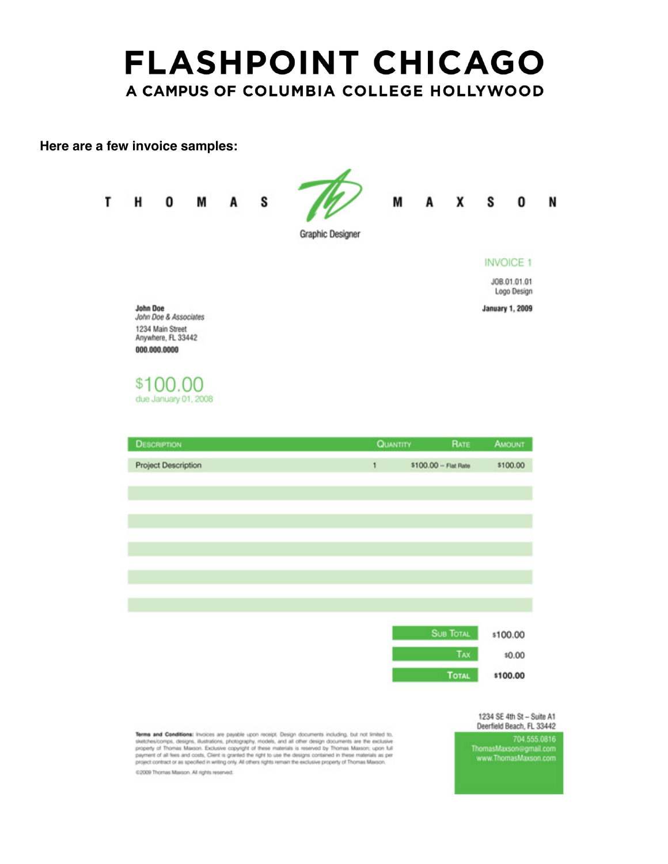#### **Here are a few invoice samples:**



Terms and Conditions: Invoices are payable upon receipt. Design documents including, but not limited to, sketches/comps, designs, illustrations, photography, models, and all other design documents are the exclusive<br>property of Thomas Maxson. Exclusive copyright of these materials is reserved by Thomas Maxson; upon full<br>paymen project contract or as specified in writing only. All others rights remain the exclusive property of Thomas Maxson. 02009 Thomas Marson. All rights reserved.

Deerfield Beach, FL 33442 704.555.0816<br>ThomasMaxson@gmail.com<br>www.ThomasMaxson.com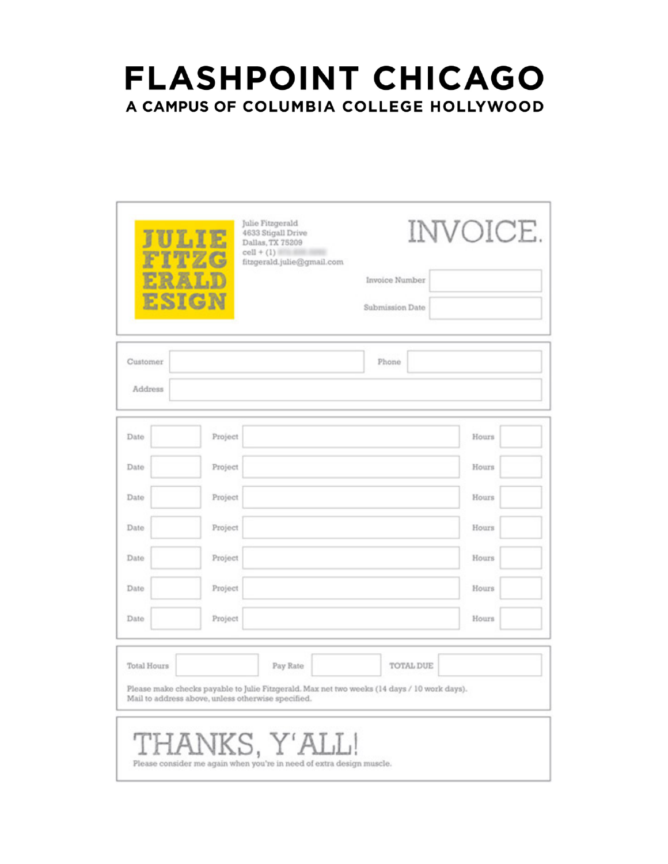| JULIE<br><b>ESIGN</b> |                                                    | Julie Fitzgerald<br>4633 Stigall Drive<br>Dallas, TX 75209<br>$cell + (1)$<br>fitzgerald.julie@gmail.com | Invoice Number<br>Submission Date                                                                        | INVOICE. |
|-----------------------|----------------------------------------------------|----------------------------------------------------------------------------------------------------------|----------------------------------------------------------------------------------------------------------|----------|
| Customer<br>Address   |                                                    |                                                                                                          | Phone                                                                                                    |          |
| Date                  | Project                                            |                                                                                                          |                                                                                                          | Hours    |
| Date                  | Project                                            |                                                                                                          |                                                                                                          | Hours    |
| Date                  | Project                                            |                                                                                                          |                                                                                                          | Hours    |
| Date                  | Project                                            |                                                                                                          |                                                                                                          | Hours    |
| Date                  | Project                                            |                                                                                                          |                                                                                                          | Hours    |
| Date                  | Project                                            |                                                                                                          |                                                                                                          | Hours    |
| Date                  | Project                                            |                                                                                                          |                                                                                                          | Hours    |
| Total Hours           | Mail to address above, unless otherwise specified. | Pay Rate                                                                                                 | TOTAL DUE<br>Please make checks payable to Julie Fitzgerald. Max net two weeks (14 days / 10 work days). |          |